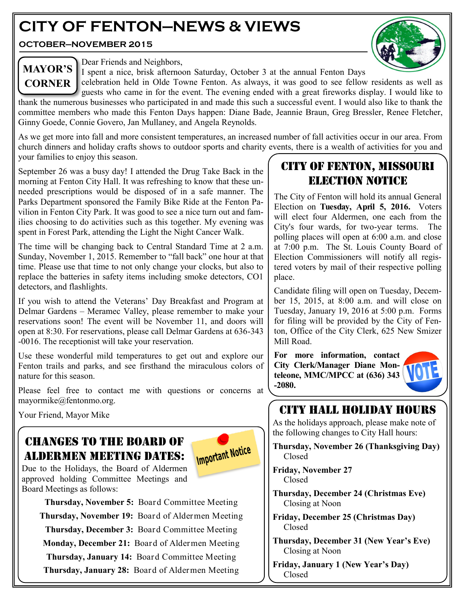## **CITY OF FENTON—NEWS & VIEWS**

**OCTOBER—NOVEMBER 2015**



## **MAYOR'S CORNER**

Dear Friends and Neighbors,

I spent a nice, brisk afternoon Saturday, October 3 at the annual Fenton Days

celebration held in Olde Towne Fenton. As always, it was good to see fellow residents as well as guests who came in for the event. The evening ended with a great fireworks display. I would like to thank the numerous businesses who participated in and made this such a successful event. I would also like to thank the committee members who made this Fenton Days happen: Diane Bade, Jeannie Braun, Greg Bressler, Renee Fletcher, Ginny Goede, Connie Govero, Jan Mullaney, and Angela Reynolds.

As we get more into fall and more consistent temperatures, an increased number of fall activities occur in our area. From church dinners and holiday crafts shows to outdoor sports and charity events, there is a wealth of activities for you and your families to enjoy this season.

September 26 was a busy day! I attended the Drug Take Back in the morning at Fenton City Hall. It was refreshing to know that these unneeded prescriptions would be disposed of in a safe manner. The Parks Department sponsored the Family Bike Ride at the Fenton Pavilion in Fenton City Park. It was good to see a nice turn out and families choosing to do activities such as this together. My evening was spent in Forest Park, attending the Light the Night Cancer Walk.

The time will be changing back to Central Standard Time at 2 a.m. Sunday, November 1, 2015. Remember to "fall back" one hour at that time. Please use that time to not only change your clocks, but also to replace the batteries in safety items including smoke detectors, CO1 detectors, and flashlights.

If you wish to attend the Veterans' Day Breakfast and Program at Delmar Gardens – Meramec Valley, please remember to make your reservations soon! The event will be November 11, and doors will open at 8:30. For reservations, please call Delmar Gardens at 636-343 -0016. The receptionist will take your reservation.

Use these wonderful mild temperatures to get out and explore our Fenton trails and parks, and see firsthand the miraculous colors of nature for this season.

Please feel free to contact me with questions or concerns at mayormike@fentonmo.org.

Your Friend, Mayor Mike

## Changes to the board of aldermen Meeting dates:



Due to the Holidays, the Board of Aldermen approved holding Committee Meetings and Board Meetings as follows:

> **Thursday, November 5:** Board Committee Meeting **Thursday, November 19:** Board of Aldermen Meeting **Thursday, December 3:** Board Committee Meeting **Monday, December 21:** Board of Aldermen Meeting **Thursday, January 14:** Board Committee Meeting **Thursday, January 28:** Board of Aldermen Meeting

## CITY OF FENTON, MISSOURI ELECTION NOTICE

The City of Fenton will hold its annual General Election on **Tuesday, April 5, 2016.** Voters will elect four Aldermen, one each from the City's four wards, for two-year terms. The polling places will open at 6:00 a.m. and close at 7:00 p.m. The St. Louis County Board of Election Commissioners will notify all registered voters by mail of their respective polling place.

Candidate filing will open on Tuesday, December 15, 2015, at 8:00 a.m. and will close on Tuesday, January 19, 2016 at 5:00 p.m. Forms for filing will be provided by the City of Fenton, Office of the City Clerk, 625 New Smizer Mill Road.

**For more information, contact City Clerk/Manager Diane Monteleone, MMC/MPCC at (636) 343 -2080.**



## CITY HALL HOLIDAY HOURS

As the holidays approach, please make note of the following changes to City Hall hours:

**Thursday, November 26 (Thanksgiving Day)** Closed

**Friday, November 27** Closed

**Thursday, December 24 (Christmas Eve)** Closing at Noon

**Friday, December 25 (Christmas Day)** Closed

**Thursday, December 31 (New Year's Eve)** Closing at Noon

**Friday, January 1 (New Year's Day)** Closed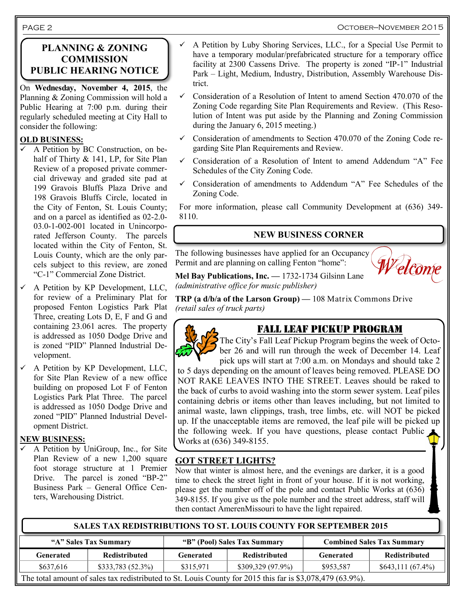#### October—November 2015

#### **PLANNING & ZONING COMMISSION PUBLIC HEARING NOTICE**

On **Wednesday, November 4, 2015**, the Planning & Zoning Commission will hold a Public Hearing at 7:00 p.m. during their regularly scheduled meeting at City Hall to consider the following:

#### **OLD BUSINESS:**

- $\checkmark$  A Petition by BC Construction, on behalf of Thirty & 141, LP, for Site Plan Review of a proposed private commercial driveway and graded site pad at 199 Gravois Bluffs Plaza Drive and 198 Gravois Bluffs Circle, located in the City of Fenton, St. Louis County; and on a parcel as identified as 02-2.0- 03.0-1-002-001 located in Unincorporated Jefferson County. The parcels located within the City of Fenton, St. Louis County, which are the only parcels subject to this review, are zoned "C-1" Commercial Zone District.
- A Petition by KP Development, LLC, for review of a Preliminary Plat for proposed Fenton Logistics Park Plat Three, creating Lots D, E, F and G and containing 23.061 acres. The property is addressed as 1050 Dodge Drive and is zoned "PID" Planned Industrial Development.
- A Petition by KP Development, LLC, for Site Plan Review of a new office building on proposed Lot F of Fenton Logistics Park Plat Three. The parcel is addressed as 1050 Dodge Drive and zoned "PID" Planned Industrial Development District.

#### **NEW BUSINESS:**

 $\checkmark$  A Petition by UniGroup, Inc., for Site Plan Review of a new 1,200 square foot storage structure at 1 Premier Drive. The parcel is zoned "BP-2" Business Park – General Office Centers, Warehousing District.

- A Petition by Luby Shoring Services, LLC., for a Special Use Permit to have a temporary modular/prefabricated structure for a temporary office facility at 2300 Cassens Drive. The property is zoned "IP-1" Industrial Park – Light, Medium, Industry, Distribution, Assembly Warehouse District.
- $\checkmark$  Consideration of a Resolution of Intent to amend Section 470.070 of the Zoning Code regarding Site Plan Requirements and Review. (This Resolution of Intent was put aside by the Planning and Zoning Commission during the January 6, 2015 meeting.)
- $\checkmark$  Consideration of amendments to Section 470.070 of the Zoning Code regarding Site Plan Requirements and Review.
- Consideration of a Resolution of Intent to amend Addendum "A" Fee Schedules of the City Zoning Code.
- Consideration of amendments to Addendum "A" Fee Schedules of the Zoning Code.

For more information, please call Community Development at (636) 349- 8110.

#### **NEW BUSINESS CORNER**

The following businesses have applied for an Occupancy Permit and are planning on calling Fenton "home":



**Mel Bay Publications, Inc. —** 1732-1734 Gilsinn Lane *(administrative office for music publisher)*

**TRP (a d/b/a of the Larson Group) —** 108 Matrix Commons Drive *(retail sales of truck parts)*



## FALL LEAF PICKUP PROGRAM

The City's Fall Leaf Pickup Program begins the week of October 26 and will run through the week of December 14. Leaf pick ups will start at 7:00 a.m. on Mondays and should take 2

to 5 days depending on the amount of leaves being removed. PLEASE DO NOT RAKE LEAVES INTO THE STREET. Leaves should be raked to the back of curbs to avoid washing into the storm sewer system. Leaf piles containing debris or items other than leaves including, but not limited to animal waste, lawn clippings, trash, tree limbs, etc. will NOT be picked up. If the unacceptable items are removed, the leaf pile will be picked up the following week. If you have questions, please contact Public Works at (636) 349-8155.

#### **GOT STREET LIGHTS?**

Now that winter is almost here, and the evenings are darker, it is a good time to check the street light in front of your house. If it is not working, please get the number off of the pole and contact Public Works at (636) 349-8155. If you give us the pole number and the street address, staff will then contact AmerenMissouri to have the light repaired.

**"A" Sales Tax Summary "B" (Pool) Sales Tax Summary Combined Sales Tax Summary Generated Redistributed Generated Redistributed Generated Redistributed** \$637,616 \$333,783 (52.3%) \$315,971 \$309,329 (97.9%) \$953,587 \$643,111 (67.4%) The total amount of sales tax redistributed to St. Louis County for 2015 this far is \$3,078,479 (63.9%). **SALES TAX REDISTRIBUTIONS TO ST. LOUIS COUNTY FOR SEPTEMBER 2015**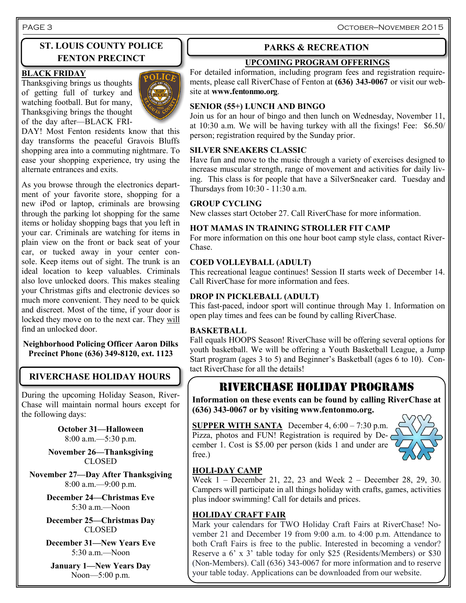# **ST. LOUIS COUNTY POLICE**

#### **BLACK FRIDAY**

Thanksgiving brings us thoughts of getting full of turkey and watching football. But for many, Thanksgiving brings the thought of the day after—BLACK FRI-



DAY! Most Fenton residents know that this day transforms the peaceful Gravois Bluffs shopping area into a commuting nightmare. To ease your shopping experience, try using the alternate entrances and exits.

As you browse through the electronics department of your favorite store, shopping for a new iPod or laptop, criminals are browsing through the parking lot shopping for the same items or holiday shopping bags that you left in your car. Criminals are watching for items in plain view on the front or back seat of your car, or tucked away in your center console. Keep items out of sight. The trunk is an ideal location to keep valuables. Criminals also love unlocked doors. This makes stealing your Christmas gifts and electronic devices so much more convenient. They need to be quick and discreet. Most of the time, if your door is locked they move on to the next car. They will find an unlocked door.

#### **Neighborhood Policing Officer Aaron Dilks Precinct Phone (636) 349-8120, ext. 1123**

## **RIVERCHASE HOLIDAY HOURS**

During the upcoming Holiday Season, River-Chase will maintain normal hours except for the following days:

> **October 31—Halloween** 8:00 a.m.—5:30 p.m.

**November 26—Thanksgiving** CLOSED

**November 27—Day After Thanksgiving** 8:00 a.m.—9:00 p.m.

> **December 24—Christmas Eve** 5:30 a.m.—Noon

> **December 25—Christmas Day** CLOSED

> **December 31—New Years Eve** 5:30 a.m.—Noon

**January 1—New Years Day** Noon—5:00 p.m.

#### **PARKS & RECREATION**

## **FENTON PRECINCT** UPCOMING PROGRAM OFFERINGS

For detailed information, including program fees and registration requirements, please call RiverChase of Fenton at **(636) 343-0067** or visit our website at **www.fentonmo.org**.

#### **SENIOR (55+) LUNCH AND BINGO**

Join us for an hour of bingo and then lunch on Wednesday, November 11, at 10:30 a.m. We will be having turkey with all the fixings! Fee: \$6.50/ person; registration required by the Sunday prior.

#### **SILVER SNEAKERS CLASSIC**

Have fun and move to the music through a variety of exercises designed to increase muscular strength, range of movement and activities for daily living. This class is for people that have a SilverSneaker card. Tuesday and Thursdays from  $10:30 - 11:30$  a.m.

#### **GROUP CYCLING**

New classes start October 27. Call RiverChase for more information.

#### **HOT MAMAS IN TRAINING STROLLER FIT CAMP**

For more information on this one hour boot camp style class, contact River-Chase.

#### **COED VOLLEYBALL (ADULT)**

This recreational league continues! Session II starts week of December 14. Call RiverChase for more information and fees.

#### **DROP IN PICKLEBALL (ADULT)**

This fast-paced, indoor sport will continue through May 1. Information on open play times and fees can be found by calling RiverChase.

#### **BASKETBALL**

Fall equals HOOPS Season! RiverChase will be offering several options for youth basketball. We will be offering a Youth Basketball League, a Jump Start program (ages 3 to 5) and Beginner's Basketball (ages 6 to 10). Contact RiverChase for all the details!

## Riverchase Holiday programs

**Information on these events can be found by calling RiverChase at (636) 343-0067 or by visiting www.fentonmo.org.**

**SUPPER WITH SANTA** December 4, 6:00 – 7:30 p.m. Pizza, photos and FUN! Registration is required by De- $\epsilon$ cember 1. Cost is \$5.00 per person (kids 1 and under are free.)



#### **HOLI-DAY CAMP**

Week 1 – December 21, 22, 23 and Week 2 – December 28, 29, 30. Campers will participate in all things holiday with crafts, games, activities plus indoor swimming! Call for details and prices.

#### **HOLIDAY CRAFT FAIR**

Mark your calendars for TWO Holiday Craft Fairs at RiverChase! November 21 and December 19 from 9:00 a.m. to 4:00 p.m. Attendance to both Craft Fairs is free to the public. Interested in becoming a vendor? Reserve a 6' x 3' table today for only \$25 (Residents/Members) or \$30 (Non-Members). Call (636) 343-0067 for more information and to reserve your table today. Applications can be downloaded from our website.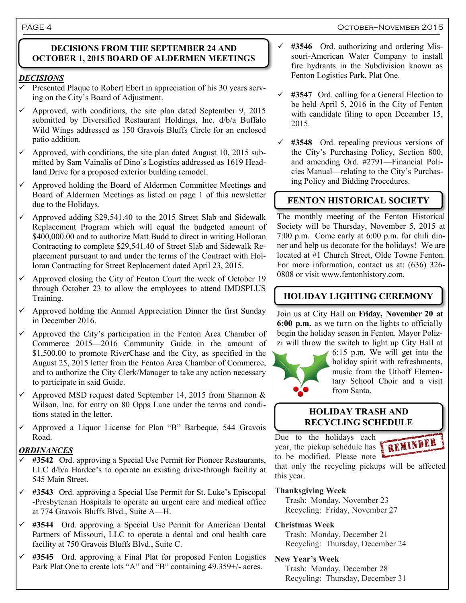#### PAGE 4 OCTOBER-NOVEMBER 2015

#### **DECISIONS FROM THE SEPTEMBER 24 AND OCTOBER 1, 2015 BOARD OF ALDERMEN MEETINGS**

#### *DECISIONS*

- Presented Plaque to Robert Ebert in appreciation of his 30 years serving on the City's Board of Adjustment.
- $\checkmark$  Approved, with conditions, the site plan dated September 9, 2015 submitted by Diversified Restaurant Holdings, Inc. d/b/a Buffalo Wild Wings addressed as 150 Gravois Bluffs Circle for an enclosed patio addition.
- $\checkmark$  Approved, with conditions, the site plan dated August 10, 2015 submitted by Sam Vainalis of Dino's Logistics addressed as 1619 Headland Drive for a proposed exterior building remodel.
- Approved holding the Board of Aldermen Committee Meetings and Board of Aldermen Meetings as listed on page 1 of this newsletter due to the Holidays.
- $\checkmark$  Approved adding \$29,541.40 to the 2015 Street Slab and Sidewalk Replacement Program which will equal the budgeted amount of \$400,000.00 and to authorize Matt Budd to direct in writing Holloran Contracting to complete \$29,541.40 of Street Slab and Sidewalk Replacement pursuant to and under the terms of the Contract with Holloran Contracting for Street Replacement dated April 23, 2015.
- $\checkmark$  Approved closing the City of Fenton Court the week of October 19 through October 23 to allow the employees to attend IMDSPLUS Training.
- Approved holding the Annual Appreciation Dinner the first Sunday in December 2016.
- $\checkmark$  Approved the City's participation in the Fenton Area Chamber of Commerce 2015—2016 Community Guide in the amount of \$1,500.00 to promote RiverChase and the City, as specified in the August 25, 2015 letter from the Fenton Area Chamber of Commerce, and to authorize the City Clerk/Manager to take any action necessary to participate in said Guide.
- $\checkmark$  Approved MSD request dated September 14, 2015 from Shannon & Wilson, Inc. for entry on 80 Opps Lane under the terms and conditions stated in the letter.
- $\checkmark$  Approved a Liquor License for Plan "B" Barbeque, 544 Gravois Road.

#### *ORDINANCES*

- **#3542** Ord. approving a Special Use Permit for Pioneer Restaurants, LLC  $d/b/a$  Hardee's to operate an existing drive-through facility at 545 Main Street.
- **#3543** Ord. approving a Special Use Permit for St. Luke's Episcopal -Presbyterian Hospitals to operate an urgent care and medical office at 774 Gravois Bluffs Blvd., Suite A—H.
- **#3544** Ord. approving a Special Use Permit for American Dental Partners of Missouri, LLC to operate a dental and oral health care facility at 750 Gravois Bluffs Blvd., Suite C.
- **#3545** Ord. approving a Final Plat for proposed Fenton Logistics Park Plat One to create lots "A" and "B" containing 49.359+/- acres.
- **#3546** Ord. authorizing and ordering Missouri-American Water Company to install fire hydrants in the Subdivision known as Fenton Logistics Park, Plat One.
- **#3547** Ord. calling for a General Election to be held April 5, 2016 in the City of Fenton with candidate filing to open December 15, 2015.
- **#3548** Ord. repealing previous versions of the City's Purchasing Policy, Section 800, and amending Ord. #2791—Financial Policies Manual—relating to the City's Purchasing Policy and Bidding Procedures.

### **FENTON HISTORICAL SOCIETY**

The monthly meeting of the Fenton Historical Society will be Thursday, November 5, 2015 at 7:00 p.m. Come early at 6:00 p.m. for chili dinner and help us decorate for the holidays! We are located at #1 Church Street, Olde Towne Fenton. For more information, contact us at: (636) 326- 0808 or visit www.fentonhistory.com.

#### **HOLIDAY LIGHTING CEREMONY**

Join us at City Hall on **Friday, November 20 at 6:00 p.m.** as we turn on the lights to officially begin the holiday season in Fenton. Mayor Polizzi will throw the switch to light up City Hall at



6:15 p.m. We will get into the holiday spirit with refreshments, music from the Uthoff Elementary School Choir and a visit from Santa.

#### **HOLIDAY TRASH AND RECYCLING SCHEDULE**

Due to the holidays each year, the pickup schedule has **FREMINDER** to be modified. Please note



that only the recycling pickups will be affected this year.

#### **Thanksgiving Week**

 Trash: Monday, November 23 Recycling: Friday, November 27

#### **Christmas Week**

 Trash: Monday, December 21 Recycling: Thursday, December 24

#### **New Year's Week**

 Trash: Monday, December 28 Recycling: Thursday, December 31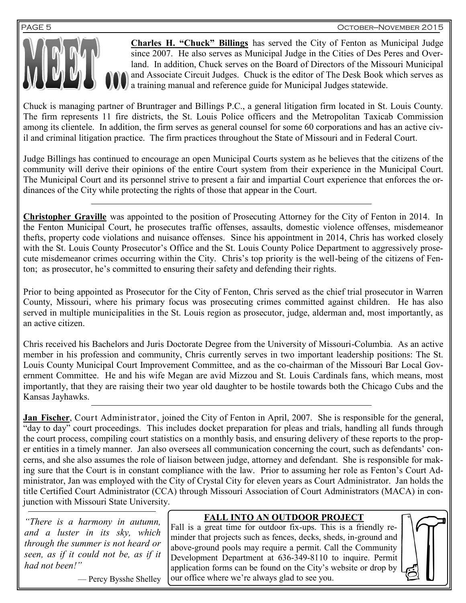

**Charles H. "Chuck" Billings** has served the City of Fenton as Municipal Judge since 2007. He also serves as Municipal Judge in the Cities of Des Peres and Overland. In addition, Chuck serves on the Board of Directors of the Missouri Municipal and Associate Circuit Judges. Chuck is the editor of The Desk Book which serves as a training manual and reference guide for Municipal Judges statewide.

Chuck is managing partner of Bruntrager and Billings P.C., a general litigation firm located in St. Louis County. The firm represents 11 fire districts, the St. Louis Police officers and the Metropolitan Taxicab Commission among its clientele. In addition, the firm serves as general counsel for some 60 corporations and has an active civil and criminal litigation practice. The firm practices throughout the State of Missouri and in Federal Court.

Judge Billings has continued to encourage an open Municipal Courts system as he believes that the citizens of the community will derive their opinions of the entire Court system from their experience in the Municipal Court. The Municipal Court and its personnel strive to present a fair and impartial Court experience that enforces the ordinances of the City while protecting the rights of those that appear in the Court.

**Christopher Graville** was appointed to the position of Prosecuting Attorney for the City of Fenton in 2014. In the Fenton Municipal Court, he prosecutes traffic offenses, assaults, domestic violence offenses, misdemeanor thefts, property code violations and nuisance offenses. Since his appointment in 2014, Chris has worked closely with the St. Louis County Prosecutor's Office and the St. Louis County Police Department to aggressively prosecute misdemeanor crimes occurring within the City. Chris's top priority is the well-being of the citizens of Fenton; as prosecutor, he's committed to ensuring their safety and defending their rights.

Prior to being appointed as Prosecutor for the City of Fenton, Chris served as the chief trial prosecutor in Warren County, Missouri, where his primary focus was prosecuting crimes committed against children. He has also served in multiple municipalities in the St. Louis region as prosecutor, judge, alderman and, most importantly, as an active citizen.

Chris received his Bachelors and Juris Doctorate Degree from the University of Missouri-Columbia. As an active member in his profession and community, Chris currently serves in two important leadership positions: The St. Louis County Municipal Court Improvement Committee, and as the co-chairman of the Missouri Bar Local Government Committee. He and his wife Megan are avid Mizzou and St. Louis Cardinals fans, which means, most importantly, that they are raising their two year old daughter to be hostile towards both the Chicago Cubs and the Kansas Jayhawks.

**Jan Fischer**, Court Administrator, joined the City of Fenton in April, 2007. She is responsible for the general, "day to day" court proceedings. This includes docket preparation for pleas and trials, handling all funds through the court process, compiling court statistics on a monthly basis, and ensuring delivery of these reports to the proper entities in a timely manner. Jan also oversees all communication concerning the court, such as defendants' concerns, and she also assumes the role of liaison between judge, attorney and defendant. She is responsible for making sure that the Court is in constant compliance with the law. Prior to assuming her role as Fenton's Court Administrator, Jan was employed with the City of Crystal City for eleven years as Court Administrator. Jan holds the title Certified Court Administrator (CCA) through Missouri Association of Court Administrators (MACA) in conjunction with Missouri State University.

*"There is a harmony in autumn, and a luster in its sky, which through the summer is not heard or seen, as if it could not be, as if it had not been!"*

— Percy Bysshe Shelley

#### **FALL INTO AN OUTDOOR PROJECT**

Fall is a great time for outdoor fix-ups. This is a friendly reminder that projects such as fences, decks, sheds, in-ground and above-ground pools may require a permit. Call the Community Development Department at 636-349-8110 to inquire. Permit application forms can be found on the City's website or drop by our office where we're always glad to see you.